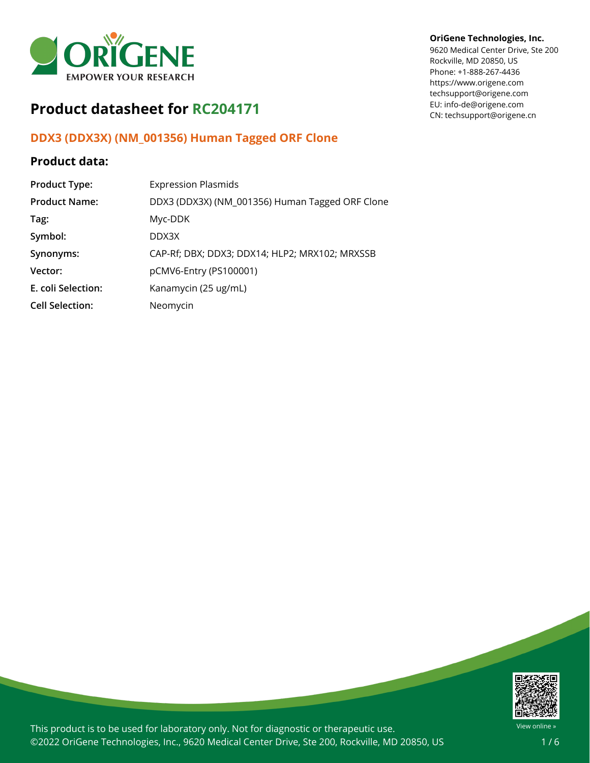

# **Product datasheet for RC204171**

## **DDX3 (DDX3X) (NM\_001356) Human Tagged ORF Clone**

## **Product data:**

| <b>Product Type:</b>   | <b>Expression Plasmids</b>                      |
|------------------------|-------------------------------------------------|
| <b>Product Name:</b>   | DDX3 (DDX3X) (NM_001356) Human Tagged ORF Clone |
| Tag:                   | Myc-DDK                                         |
| Symbol:                | DDX3X                                           |
| Synonyms:              | CAP-Rf; DBX; DDX3; DDX14; HLP2; MRX102; MRXSSB  |
| Vector:                | pCMV6-Entry (PS100001)                          |
| E. coli Selection:     | Kanamycin (25 ug/mL)                            |
| <b>Cell Selection:</b> | Neomycin                                        |

#### **OriGene Technologies, Inc.**

9620 Medical Center Drive, Ste 200 Rockville, MD 20850, US Phone: +1-888-267-4436 https://www.origene.com techsupport@origene.com EU: info-de@origene.com CN: techsupport@origene.cn



This product is to be used for laboratory only. Not for diagnostic or therapeutic use. ©2022 OriGene Technologies, Inc., 9620 Medical Center Drive, Ste 200, Rockville, MD 20850, US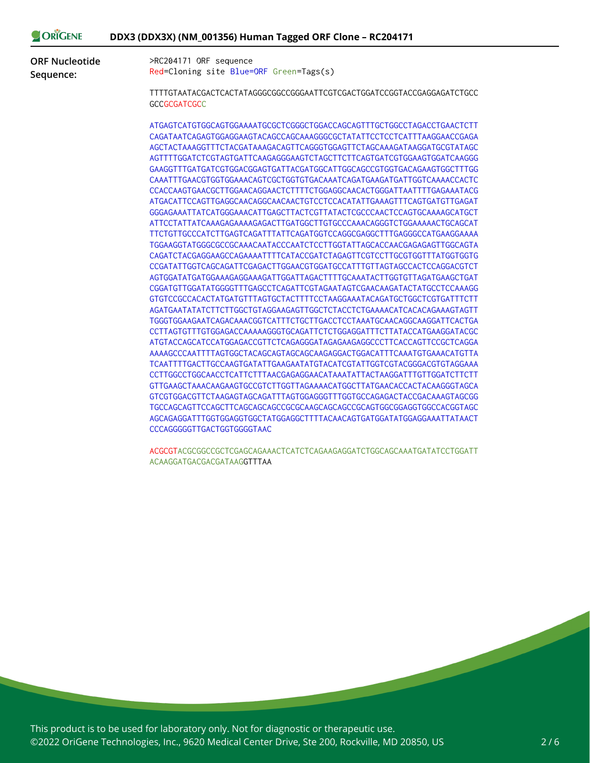| <b>ORIGENE</b> | DDX3 (DDX3X) (NM_001356) Human Tagged ORF Clone - RC204171 |
|----------------|------------------------------------------------------------|
|----------------|------------------------------------------------------------|

**ORF Nucleotide Sequence:**

>RC204171 ORF sequence Red=Cloning site Blue=ORF Green=Tags(s)

TTTTGTAATACGACTCACTATAGGGCGGCCGGGAATTCGTCGACTGGATCCGGTACCGAGGAGATCTGCC **GCCGCGATCGCC** 

ATGAGTCATGTGGCAGTGGAAAATGCGCTCGGGCTGGACCAGCAGTTTGCTGGCCTAGACCTGAACTCTT CAGATAATCAGAGTGGAGGAAGTACAGCCAGCAAAGGGCGCTATATTCCTCCTCATTTAAGGAACCGAGA AGCTACTAAAGGTTTCTACGATAAAGACAGTTCAGGGTGGAGTTCTAGCAAAGATAAGGATGCGTATAGC AGTTTTGGATCTCGTAGTGATTCAAGAGGGAAGTCTAGCTTCTTCAGTGATCGTGGAAGTGGATCAAGGG GAAGGTTTGATGATCGTGGACGGAGTGATTACGATGGCATTGGCAGCCGTGGTGACAGAAGTGGCTTTGG CAAATTTGAACGTGGTGGAAACAGTCGCTGGTGTGACAAATCAGATGAAGATGATTGGTCAAAACCACTC CCACCAAGTGAACGCTTGGAACAGGAACTCTTTTCTGGAGGCAACACTGGGATTAATTTTGAGAAATACG ATGACATTCCAGTTGAGGCAACAGGCAACAACTGTCCTCCACATATTGAAAGTTTCAGTGATGTTGAGAT GGGAGAAATTATCATGGGAAACATTGAGCTTACTCGTTATACTCGCCCAACTCCAGTGCAAAAGCATGCT ATTCCTATTATCAAAGAGAAAAGAGACTTGATGGCTTGTGCCCAAACAGGGTCTGGAAAAACTGCAGCAT TTCTGTTGCCCATCTTGAGTCAGATTTATTCAGATGGTCCAGGCGAGGCTTTGAGGGCCATGAAGGAAAA TGGAAGGTATGGGCGCCGCAAACAATACCCAATCTCCTTGGTATTAGCACCAACGAGAGAGTTGGCAGTA CAGATCTACGAGGAAGCCAGAAAATTTTCATACCGATCTAGAGTTCGTCCTTGCGTGGTTTATGGTGGTG CCGATATTGGTCAGCAGATTCGAGACTTGGAACGTGGATGCCATTTGTTAGTAGCCACTCCAGGACGTCT AGTGGATATGATGGAAAGAGGAAAGATTGGATTAGACTTTTGCAAATACTTGGTGTTAGATGAAGCTGAT CGGATGTTGGATATGGGGTTTGAGCCTCAGATTCGTAGAATAGTCGAACAAGATACTATGCCTCCAAAGG GTGTCCGCCACACTATGATGTTTAGTGCTACTTTTCCTAAGGAAATACAGATGCTGGCTCGTGATTTCTT AGATGAATATATCTTCTTGGCTGTAGGAAGAGTTGGCTCTACCTCTGAAAACATCACACAGAAAGTAGTT TGGGTGGAAGAATCAGACAAACGGTCATTTCTGCTTGACCTCCTAAATGCAACAGGCAAGGATTCACTGA CCTTAGTGTTTGTGGAGACCAAAAAGGGTGCAGATTCTCTGGAGGATTTCTTATACCATGAAGGATACGC ATGTACCAGCATCCATGGAGACCGTTCTCAGAGGGATAGAGAAGAGGCCCTTCACCAGTTCCGCTCAGGA AAAAGCCCAATTTTAGTGGCTACAGCAGTAGCAGCAAGAGGACTGGACATTTCAAATGTGAAACATGTTA TCAATTTTGACTTGCCAAGTGATATTGAAGAATATGTACATCGTATTGGTCGTACGGGACGTGTAGGAAA CCTTGGCCTGGCAACCTCATTCTTTAACGAGAGGAACATAAATATTACTAAGGATTTGTTGGATCTTCTT GTTGAAGCTAAACAAGAAGTGCCGTCTTGGTTAGAAAACATGGCTTATGAACACCACTACAAGGGTAGCA GTCGTGGACGTTCTAAGAGTAGCAGATTTAGTGGAGGGTTTGGTGCCAGAGACTACCGACAAAGTAGCGG TGCCAGCAGTTCCAGCTTCAGCAGCAGCCGCGCAAGCAGCAGCCGCAGTGGCGGAGGTGGCCACGGTAGC AGCAGAGGATTTGGTGGAGGTGGCTATGGAGGCTTTTACAACAGTGATGGATATGGAGGAAATTATAACT CCCAGGGGGTTGACTGGTGGGGTAAC

ACGCGTACGCGGCCGCTCGAGCAGAAACTCATCTCAGAAGAGGATCTGGCAGCAAATGATATCCTGGATT ACAAGGATGACGACGATAAGGTTTAA

This product is to be used for laboratory only. Not for diagnostic or therapeutic use. ©2022 OriGene Technologies, Inc., 9620 Medical Center Drive, Ste 200, Rockville, MD 20850, US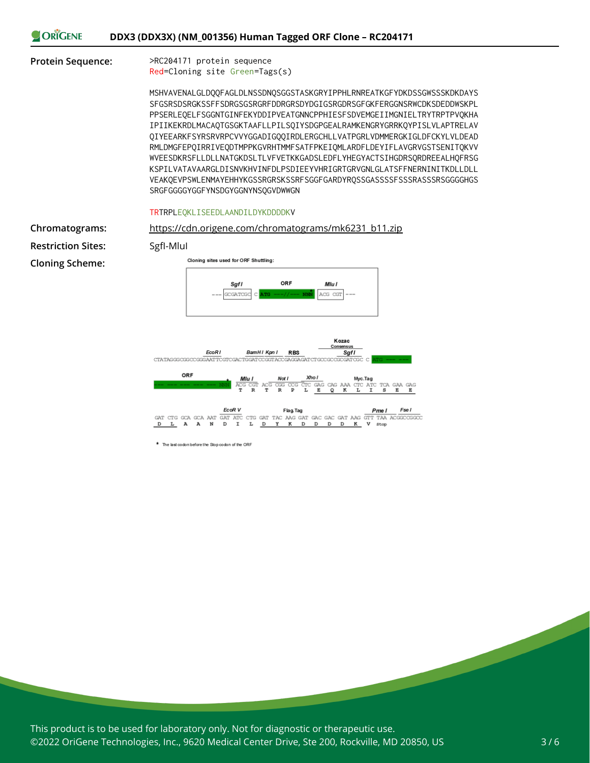

#### **Protein Sequence:** >RC204171 protein sequence

Red=Cloning site Green=Tags(s)

MSHVAVENALGLDQQFAGLDLNSSDNQSGGSTASKGRYIPPHLRNREATKGFYDKDSSGWSSSKDKDAYS SFGSRSDSRGKSSFFSDRGSGSRGRFDDRGRSDYDGIGSRGDRSGFGKFERGGNSRWCDKSDEDDWSKPL PPSERLEQELFSGGNTGINFEKYDDIPVEATGNNCPPHIESFSDVEMGEIIMGNIELTRYTRPTPVQKHA IPIIKEKRDLMACAQTGSGKTAAFLLPILSQIYSDGPGEALRAMKENGRYGRRKQYPISLVLAPTRELAV QIYEEARKFSYRSRVRPCVVYGGADIGQQIRDLERGCHLLVATPGRLVDMMERGKIGLDFCKYLVLDEAD RMLDMGFEPQIRRIVEQDTMPPKGVRHTMMFSATFPKEIQMLARDFLDEYIFLAVGRVGSTSENITQKVV WVEESDKRSFLLDLLNATGKDSLTLVFVETKKGADSLEDFLYHEGYACTSIHGDRSQRDREEALHQFRSG KSPILVATAVAARGLDISNVKHVINFDLPSDIEEYVHRIGRTGRVGNLGLATSFFNERNINITKDLLDLL VEAKQEVPSWLENMAYEHHYKGSSRGRSKSSRFSGGFGARDYRQSSGASSSSFSSSRASSSRSGGGGHGS SRGFGGGGYGGFYNSDGYGGNYNSQGVDWWGN

#### TRTRPLEQKLISEEDLAANDILDYKDDDDKV

**Restriction Sites:** SgfI-MluI **Cloning Scheme:**



\* The last codon before the Stop codon of the ORF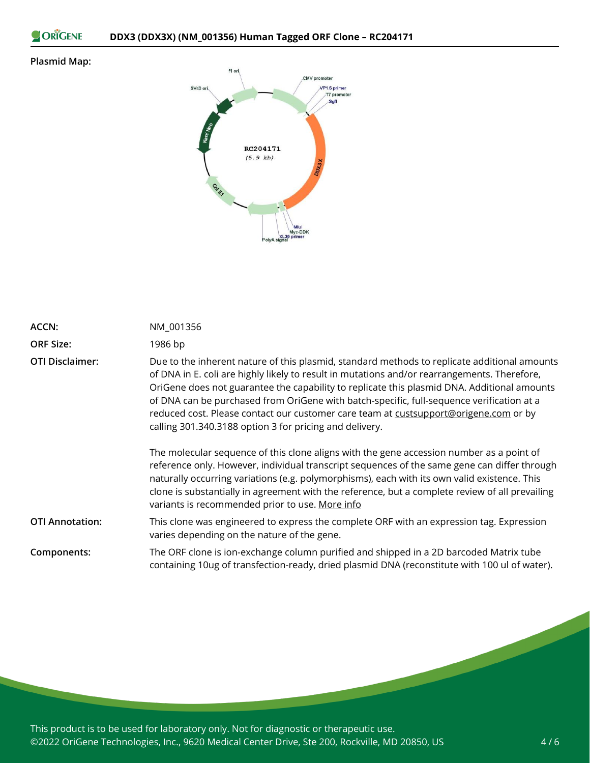```
ORIGENE
```
### **Plasmid Map:**



| <b>ACCN:</b>           | NM_001356                                                                                                                                                                                                                                                                                                                                                                                                                                                                                                                                   |
|------------------------|---------------------------------------------------------------------------------------------------------------------------------------------------------------------------------------------------------------------------------------------------------------------------------------------------------------------------------------------------------------------------------------------------------------------------------------------------------------------------------------------------------------------------------------------|
| <b>ORF Size:</b>       | 1986 bp                                                                                                                                                                                                                                                                                                                                                                                                                                                                                                                                     |
| <b>OTI Disclaimer:</b> | Due to the inherent nature of this plasmid, standard methods to replicate additional amounts<br>of DNA in E. coli are highly likely to result in mutations and/or rearrangements. Therefore,<br>OriGene does not guarantee the capability to replicate this plasmid DNA. Additional amounts<br>of DNA can be purchased from OriGene with batch-specific, full-sequence verification at a<br>reduced cost. Please contact our customer care team at custsupport@origene.com or by<br>calling 301.340.3188 option 3 for pricing and delivery. |
|                        | The molecular sequence of this clone aligns with the gene accession number as a point of<br>reference only. However, individual transcript sequences of the same gene can differ through<br>naturally occurring variations (e.g. polymorphisms), each with its own valid existence. This<br>clone is substantially in agreement with the reference, but a complete review of all prevailing<br>variants is recommended prior to use. More info                                                                                              |
| <b>OTI Annotation:</b> | This clone was engineered to express the complete ORF with an expression tag. Expression<br>varies depending on the nature of the gene.                                                                                                                                                                                                                                                                                                                                                                                                     |
| Components:            | The ORF clone is ion-exchange column purified and shipped in a 2D barcoded Matrix tube<br>containing 10ug of transfection-ready, dried plasmid DNA (reconstitute with 100 ul of water).                                                                                                                                                                                                                                                                                                                                                     |

This product is to be used for laboratory only. Not for diagnostic or therapeutic use. ©2022 OriGene Technologies, Inc., 9620 Medical Center Drive, Ste 200, Rockville, MD 20850, US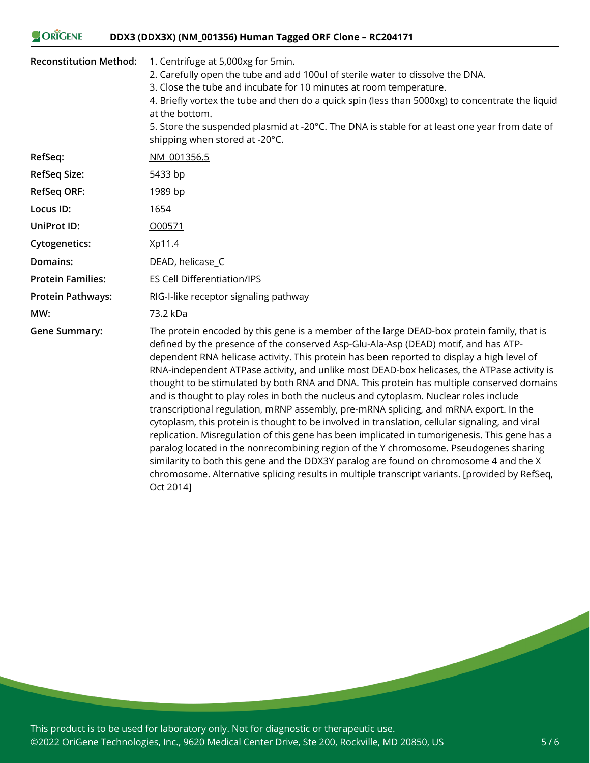#### ORIGENE **DDX3 (DDX3X) (NM\_001356) Human Tagged ORF Clone – RC204171**

| <b>Reconstitution Method:</b> | 1. Centrifuge at 5,000xg for 5min.<br>2. Carefully open the tube and add 100ul of sterile water to dissolve the DNA.<br>3. Close the tube and incubate for 10 minutes at room temperature.                                                                                                                                                                                                                                                                                                                                                                                                                                                                                                                                                                                                                                                                                                                                                                 |
|-------------------------------|------------------------------------------------------------------------------------------------------------------------------------------------------------------------------------------------------------------------------------------------------------------------------------------------------------------------------------------------------------------------------------------------------------------------------------------------------------------------------------------------------------------------------------------------------------------------------------------------------------------------------------------------------------------------------------------------------------------------------------------------------------------------------------------------------------------------------------------------------------------------------------------------------------------------------------------------------------|
|                               | 4. Briefly vortex the tube and then do a quick spin (less than 5000xg) to concentrate the liquid<br>at the bottom.<br>5. Store the suspended plasmid at -20°C. The DNA is stable for at least one year from date of<br>shipping when stored at -20°C.                                                                                                                                                                                                                                                                                                                                                                                                                                                                                                                                                                                                                                                                                                      |
| RefSeq:                       | NM 001356.5                                                                                                                                                                                                                                                                                                                                                                                                                                                                                                                                                                                                                                                                                                                                                                                                                                                                                                                                                |
| <b>RefSeq Size:</b>           | 5433 bp                                                                                                                                                                                                                                                                                                                                                                                                                                                                                                                                                                                                                                                                                                                                                                                                                                                                                                                                                    |
| <b>RefSeq ORF:</b>            | 1989 bp                                                                                                                                                                                                                                                                                                                                                                                                                                                                                                                                                                                                                                                                                                                                                                                                                                                                                                                                                    |
| Locus ID:                     | 1654                                                                                                                                                                                                                                                                                                                                                                                                                                                                                                                                                                                                                                                                                                                                                                                                                                                                                                                                                       |
| <b>UniProt ID:</b>            | 000571                                                                                                                                                                                                                                                                                                                                                                                                                                                                                                                                                                                                                                                                                                                                                                                                                                                                                                                                                     |
| <b>Cytogenetics:</b>          | Xp11.4                                                                                                                                                                                                                                                                                                                                                                                                                                                                                                                                                                                                                                                                                                                                                                                                                                                                                                                                                     |
| Domains:                      | DEAD, helicase_C                                                                                                                                                                                                                                                                                                                                                                                                                                                                                                                                                                                                                                                                                                                                                                                                                                                                                                                                           |
| <b>Protein Families:</b>      | <b>ES Cell Differentiation/IPS</b>                                                                                                                                                                                                                                                                                                                                                                                                                                                                                                                                                                                                                                                                                                                                                                                                                                                                                                                         |
| <b>Protein Pathways:</b>      | RIG-I-like receptor signaling pathway                                                                                                                                                                                                                                                                                                                                                                                                                                                                                                                                                                                                                                                                                                                                                                                                                                                                                                                      |
| MW:                           | 73.2 kDa                                                                                                                                                                                                                                                                                                                                                                                                                                                                                                                                                                                                                                                                                                                                                                                                                                                                                                                                                   |
| <b>Gene Summary:</b>          | The protein encoded by this gene is a member of the large DEAD-box protein family, that is<br>defined by the presence of the conserved Asp-Glu-Ala-Asp (DEAD) motif, and has ATP-<br>dependent RNA helicase activity. This protein has been reported to display a high level of<br>RNA-independent ATPase activity, and unlike most DEAD-box helicases, the ATPase activity is<br>thought to be stimulated by both RNA and DNA. This protein has multiple conserved domains<br>and is thought to play roles in both the nucleus and cytoplasm. Nuclear roles include<br>transcriptional regulation, mRNP assembly, pre-mRNA splicing, and mRNA export. In the<br>cytoplasm, this protein is thought to be involved in translation, cellular signaling, and viral<br>replication. Misregulation of this gene has been implicated in tumorigenesis. This gene has a<br>paralog located in the nonrecombining region of the Y chromosome. Pseudogenes sharing |

similarity to both this gene and the DDX3Y paralog are found on chromosome 4 and the X chromosome. Alternative splicing results in multiple transcript variants. [provided by RefSeq,

This product is to be used for laboratory only. Not for diagnostic or therapeutic use. ©2022 OriGene Technologies, Inc., 9620 Medical Center Drive, Ste 200, Rockville, MD 20850, US

Oct 2014]